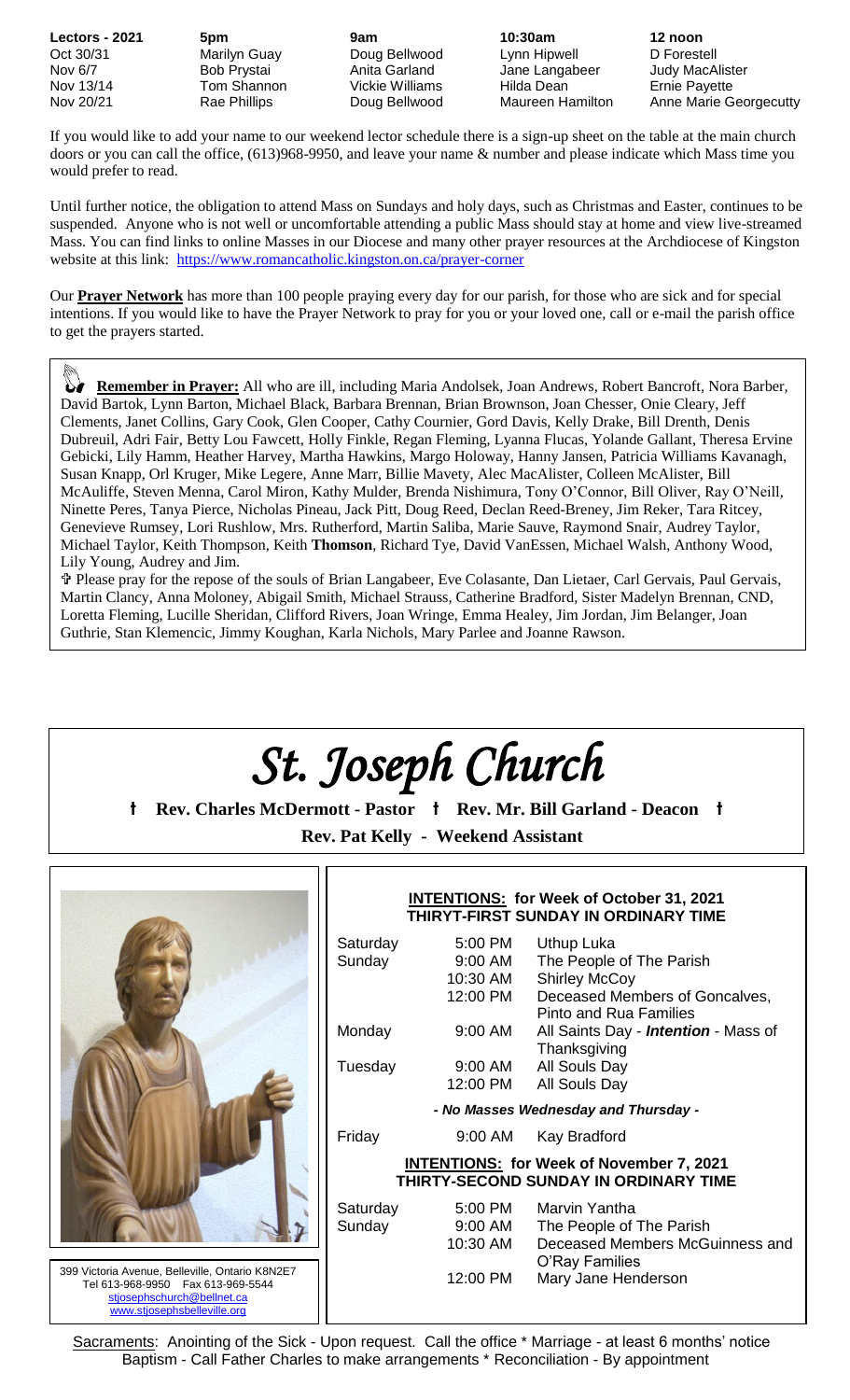**Lectors - 2021 5pm 9am 10:30am 12 noon** Oct 30/31 Marilyn Guay Doug Bellwood Lynn Hipwell D Forestell Nov 6/7 Bob Prystai Anita Garland Jane Langabeer Judy MacAlister<br>Nov 13/14 Tom Shannon Vickie Williams Hilda Dean Tom Shannon Vickie Williams Hilda Dean Ernie Payette

Nov 20/21 **Rae Phillips Company Bellwood** Maureen Hamilton Anne Marie Georgecutty

If you would like to add your name to our weekend lector schedule there is a sign-up sheet on the table at the main church doors or you can call the office, (613)968-9950, and leave your name & number and please indicate which Mass time you would prefer to read.

Until further notice, the obligation to attend Mass on Sundays and holy days, such as Christmas and Easter, continues to be suspended. Anyone who is not well or uncomfortable attending a public Mass should stay at home and view live-streamed Mass. You can find links to online Masses in our Diocese and many other prayer resources at the Archdiocese of Kingston website at this link: <https://www.romancatholic.kingston.on.ca/prayer-corner>

Our **Prayer Network** has more than 100 people praying every day for our parish, for those who are sick and for special intentions. If you would like to have the Prayer Network to pray for you or your loved one, call or e-mail the parish office to get the prayers started.

 **Remember in Prayer:** All who are ill, including Maria Andolsek, Joan Andrews, Robert Bancroft, Nora Barber, David Bartok, Lynn Barton, Michael Black, Barbara Brennan, Brian Brownson, Joan Chesser, Onie Cleary, Jeff Clements, Janet Collins, Gary Cook, Glen Cooper, Cathy Cournier, Gord Davis, Kelly Drake, Bill Drenth, Denis Dubreuil, Adri Fair, Betty Lou Fawcett, Holly Finkle, Regan Fleming, Lyanna Flucas, Yolande Gallant, Theresa Ervine Gebicki, Lily Hamm, Heather Harvey, Martha Hawkins, Margo Holoway, Hanny Jansen, Patricia Williams Kavanagh, Susan Knapp, Orl Kruger, Mike Legere, Anne Marr, Billie Mavety, Alec MacAlister, Colleen McAlister, Bill McAuliffe, Steven Menna, Carol Miron, Kathy Mulder, Brenda Nishimura, Tony O'Connor, Bill Oliver, Ray O'Neill, Ninette Peres, Tanya Pierce, Nicholas Pineau, Jack Pitt, Doug Reed, Declan Reed-Breney, Jim Reker, Tara Ritcey, Genevieve Rumsey, Lori Rushlow, Mrs. Rutherford, Martin Saliba, Marie Sauve, Raymond Snair, Audrey Taylor, Michael Taylor, Keith Thompson, Keith **Thomson**, Richard Tye, David VanEssen, Michael Walsh, Anthony Wood, Lily Young, Audrey and Jim.

 Please pray for the repose of the souls of Brian Langabeer, Eve Colasante, Dan Lietaer, Carl Gervais, Paul Gervais, Martin Clancy, Anna Moloney, Abigail Smith, Michael Strauss, Catherine Bradford, Sister Madelyn Brennan, CND, Loretta Fleming, Lucille Sheridan, Clifford Rivers, Joan Wringe, Emma Healey, Jim Jordan, Jim Belanger, Joan Guthrie, Stan Klemencic, Jimmy Koughan, Karla Nichols, Mary Parlee and Joanne Rawson.

# *St. Joseph Church*

**t Rev. Charles McDermott - Pastor t Rev. Mr. Bill Garland - Deacon t Rev. Pat Kelly - Weekend Assistant**



399 Victoria Avenue, Belleville, Ontario K8N2E7 Tel 613-968-9950 Fax 613-969-5544 [stjosephschurch@bellnet.ca](mailto:stjosephschurch@bellnet.ca)  [www.stjosephsbelleville.org](http://www.stjosephsbelleville.org/)

|                                                                                                 |                    | <b>INTENTIONS: for Week of October 31, 2021</b><br>THIRYT-FIRST SUNDAY IN ORDINARY TIME |  |  |  |  |  |
|-------------------------------------------------------------------------------------------------|--------------------|-----------------------------------------------------------------------------------------|--|--|--|--|--|
| Saturday<br>Sunday                                                                              | 5:00 PM<br>9:00 AM | Uthup Luka<br>The People of The Parish                                                  |  |  |  |  |  |
|                                                                                                 | 10:30 AM           | <b>Shirley McCoy</b>                                                                    |  |  |  |  |  |
|                                                                                                 | 12:00 PM           | Deceased Members of Goncalves,<br>Pinto and Rua Families                                |  |  |  |  |  |
| Monday                                                                                          | 9:00 AM            | All Saints Day - <i>Intention</i> - Mass of<br>Thanksgiving                             |  |  |  |  |  |
| Tuesday                                                                                         | 9:00 AM            | All Souls Day                                                                           |  |  |  |  |  |
|                                                                                                 | 12:00 PM           | All Souls Day                                                                           |  |  |  |  |  |
| - No Masses Wednesday and Thursday -                                                            |                    |                                                                                         |  |  |  |  |  |
| Friday                                                                                          |                    | 9:00 AM Kay Bradford                                                                    |  |  |  |  |  |
| <b>INTENTIONS: for Week of November 7, 2021</b><br><b>THIRTY-SECOND SUNDAY IN ORDINARY TIME</b> |                    |                                                                                         |  |  |  |  |  |
| Saturday                                                                                        |                    | 5:00 PM Marvin Yantha                                                                   |  |  |  |  |  |
| Sunday                                                                                          | 9:00 AM            | The People of The Parish                                                                |  |  |  |  |  |
|                                                                                                 | 10:30 AM           | Deceased Members McGuinness and<br>O'Ray Families                                       |  |  |  |  |  |
|                                                                                                 | 12:00 PM           | Mary Jane Henderson                                                                     |  |  |  |  |  |

Sacraments: Anointing of the Sick - Upon request. Call the office \* Marriage - at least 6 months' notice Baptism - Call Father Charles to make arrangements \* Reconciliation - By appointment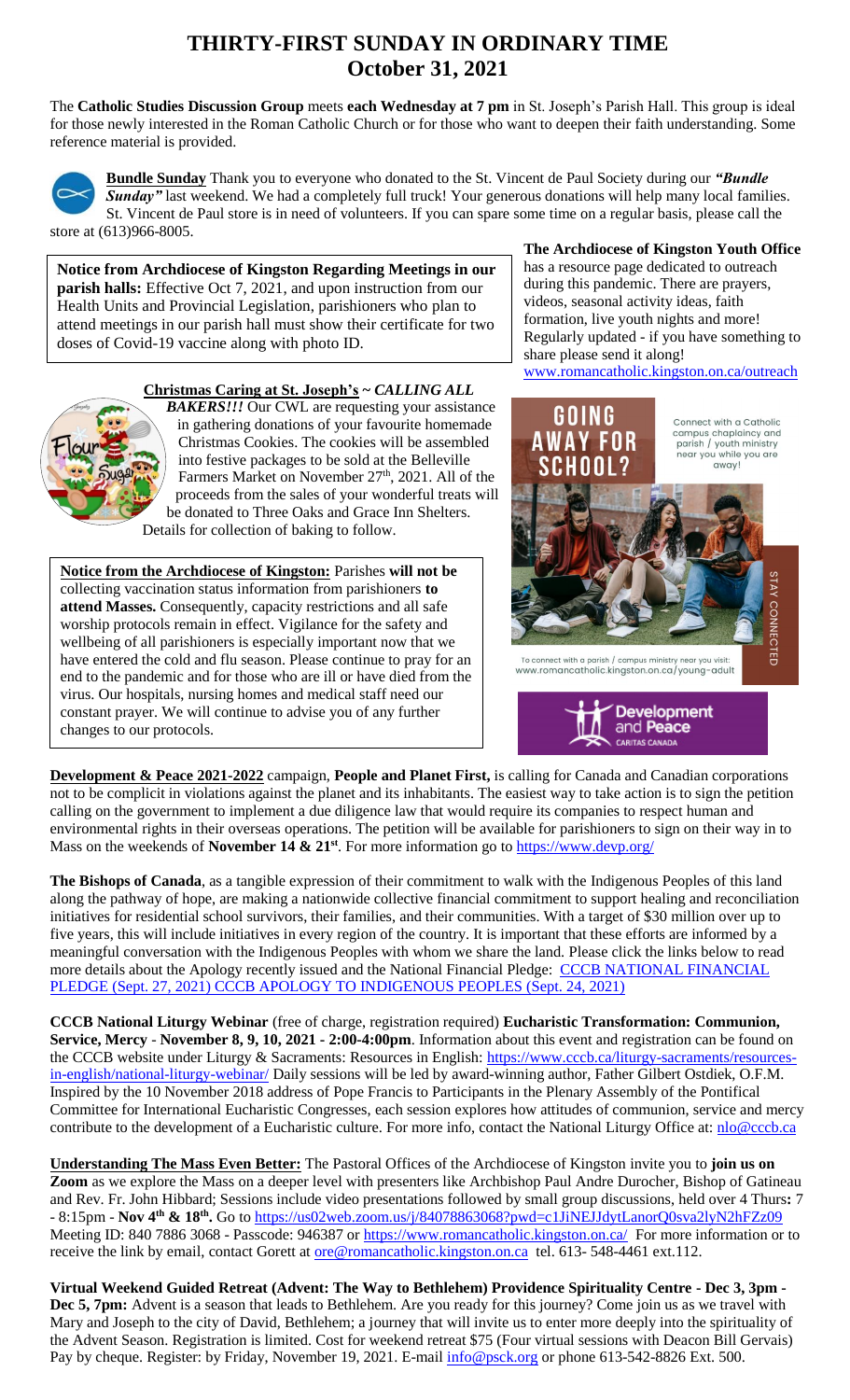## **THIRTY-FIRST SUNDAY IN ORDINARY TIME October 31, 2021**

The **Catholic Studies Discussion Group** meets **each Wednesday at 7 pm** in St. Joseph's Parish Hall. This group is ideal for those newly interested in the Roman Catholic Church or for those who want to deepen their faith understanding. Some reference material is provided.



**Bundle Sunday** Thank you to everyone who donated to the St. Vincent de Paul Society during our *"Bundle Sunday* ast weekend. We had a completely full truck! Your generous donations will help many local families. St. Vincent de Paul store is in need of volunteers. If you can spare some time on a regular basis, please call the store at (613)966-8005.

**Notice from Archdiocese of Kingston Regarding Meetings in our parish halls:** Effective Oct 7, 2021, and upon instruction from our Health Units and Provincial Legislation, parishioners who plan to attend meetings in our parish hall must show their certificate for two doses of Covid-19 vaccine along with photo ID.

**Christmas Caring at St. Joseph's ~** *CALLING ALL* 



*BAKERS!!!* Our CWL are requesting your assistance in gathering donations of your favourite homemade Christmas Cookies. The cookies will be assembled into festive packages to be sold at the Belleville Farmers Market on November 27<sup>th</sup>, 2021. All of the proceeds from the sales of your wonderful treats will be donated to Three Oaks and Grace Inn Shelters. Details for collection of baking to follow.

**Notice from the Archdiocese of Kingston:** Parishes **will not be** collecting vaccination status information from parishioners **to attend Masses.** Consequently, capacity restrictions and all safe worship protocols remain in effect. Vigilance for the safety and wellbeing of all parishioners is especially important now that we have entered the cold and flu season. Please continue to pray for an end to the pandemic and for those who are ill or have died from the virus. Our hospitals, nursing homes and medical staff need our constant prayer. We will continue to advise you of any further changes to our protocols.



**The Archdiocese of Kingston Youth Office** has a resource page dedicated to outreach





**Development & Peace 2021-2022** campaign, **People and Planet First,** is calling for Canada and Canadian corporations not to be complicit in violations against the planet and its inhabitants. The easiest way to take action is to sign the petition calling on the government to implement a due diligence law that would require its companies to respect human and environmental rights in their overseas operations. The petition will be available for parishioners to sign on their way in to Mass on the weekends of **November 14 & 21**<sup>st</sup>. For more information go to<https://www.devp.org/>

**The Bishops of Canada**, as a tangible expression of their commitment to walk with the Indigenous Peoples of this land along the pathway of hope, are making a nationwide collective financial commitment to support healing and reconciliation initiatives for residential school survivors, their families, and their communities. With a target of \$30 million over up to five years, this will include initiatives in every region of the country. It is important that these efforts are informed by a meaningful conversation with the Indigenous Peoples with whom we share the land. Please click the links below to read more details about the Apology recently issued and the National Financial Pledge: CCCB NATIONAL FINANCIAL [PLEDGE \(Sept. 27, 2021\)](https://www.peterboroughdiocese.org/en/resourcesGeneral/Homepage-banners/Residential-School/CCCB/CCCB-News-Release_27-September-2021_EN_FINAL.pdf) [CCCB APOLOGY TO INDIGENOUS PEOPLES \(Sept. 24, 2021\)](https://www.peterboroughdiocese.org/en/resourcesGeneral/Homepage-banners/Residential-School/CCCB/Statement_from_CBC_to_Indigenous-EN.pdf)

**CCCB National Liturgy Webinar** (free of charge, registration required) **Eucharistic Transformation: Communion, Service, Mercy** - **November 8, 9, 10, 2021 - 2:00-4:00pm**. Information about this event and registration can be found on the CCCB website under Liturgy & Sacraments: Resources in English: [https://www.cccb.ca/liturgy-sacraments/resources](https://www.cccb.ca/liturgy-sacraments/resources-in-english/national-liturgy-webinar/)[in-english/national-liturgy-webinar/](https://www.cccb.ca/liturgy-sacraments/resources-in-english/national-liturgy-webinar/) Daily sessions will be led by award-winning author, Father Gilbert Ostdiek, O.F.M. Inspired by the 10 November 2018 address of Pope Francis to Participants in the Plenary Assembly of the Pontifical Committee for International Eucharistic Congresses, each session explores how attitudes of communion, service and mercy contribute to the development of a Eucharistic culture. For more info, contact the National Liturgy Office at: [nlo@cccb.ca](mailto:nlo@cccb.ca)

**Understanding The Mass Even Better:** The Pastoral Offices of the Archdiocese of Kingston invite you to **join us on Zoom** as we explore the Mass on a deeper level with presenters like Archbishop Paul Andre Durocher, Bishop of Gatineau and Rev. Fr. John Hibbard; Sessions include video presentations followed by small group discussions, held over 4 Thurs**:** 7 - 8:15pm - **Nov 4th & 18th .** Go to<https://us02web.zoom.us/j/84078863068?pwd=c1JiNEJJdytLanorQ0sva2lyN2hFZz09> Meeting ID: 840 7886 3068 - Passcode: 946387 or<https://www.romancatholic.kingston.on.ca/>For more information or to receive the link by email, contact Gorett at <u>ore@romancatholic.kingston.on.ca</u> tel. 613-548-4461 ext.112.

**Virtual Weekend Guided Retreat (Advent: The Way to Bethlehem) Providence Spirituality Centre - Dec 3, 3pm - Dec 5, 7pm:** Advent is a season that leads to Bethlehem. Are you ready for this journey? Come join us as we travel with Mary and Joseph to the city of David, Bethlehem; a journey that will invite us to enter more deeply into the spirituality of the Advent Season. Registration is limited. Cost for weekend retreat \$75 (Four virtual sessions with Deacon Bill Gervais) Pay by cheque. Register: by Friday, November 19, 2021. E-mail  $\frac{info@psck.org}{info@psck.org}$  or phone 613-542-8826 Ext. 500.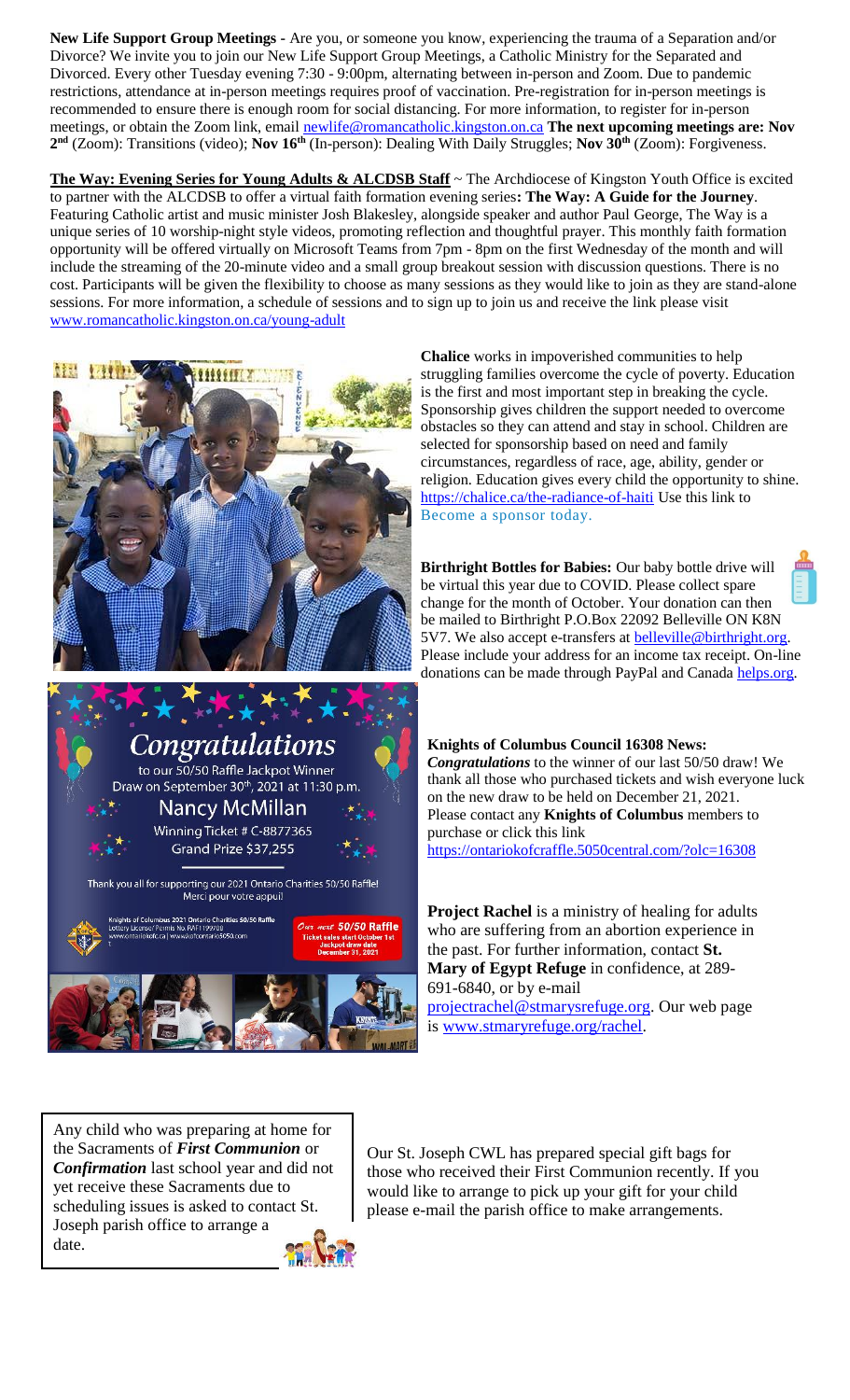**New Life Support Group Meetings -** Are you, or someone you know, experiencing the trauma of a Separation and/or Divorce? We invite you to join our New Life Support Group Meetings, a Catholic Ministry for the Separated and Divorced. Every other Tuesday evening 7:30 - 9:00pm, alternating between in-person and Zoom. Due to pandemic restrictions, attendance at in-person meetings requires proof of vaccination. Pre-registration for in-person meetings is recommended to ensure there is enough room for social distancing. For more information, to register for in-person meetings, or obtain the Zoom link, email [newlife@romancatholic.kingston.on.ca](mailto:newlife@romancatholic.kingston.on.ca) **The next upcoming meetings are: Nov 2 nd** (Zoom): Transitions (video); **Nov 16th** (In-person): Dealing With Daily Struggles; **Nov 30th** (Zoom): Forgiveness.

**The Way: Evening Series for Young Adults & ALCDSB Staff** ~ The Archdiocese of Kingston Youth Office is excited to partner with the ALCDSB to offer a virtual faith formation evening series**: The Way: A Guide for the Journey**. Featuring Catholic artist and music minister Josh Blakesley, alongside speaker and author Paul George, The Way is a unique series of 10 worship-night style videos, promoting reflection and thoughtful prayer. This monthly faith formation opportunity will be offered virtually on Microsoft Teams from 7pm - 8pm on the first Wednesday of the month and will include the streaming of the 20-minute video and a small group breakout session with discussion questions. There is no cost. Participants will be given the flexibility to choose as many sessions as they would like to join as they are stand-alone sessions. For more information, a schedule of sessions and to sign up to join us and receive the link please visit [www.romancatholic.kingston.on.ca/young-adult](http://www.romancatholic.kingston.on.ca/young-adult)





**Chalice** works in impoverished communities to help struggling families overcome the cycle of poverty. Education is the first and most important step in breaking the cycle. Sponsorship gives children the support needed to overcome obstacles so they can attend and stay in school. Children are selected for sponsorship based on need and family circumstances, regardless of race, age, ability, gender or religion. Education gives every child the opportunity to shine. <https://chalice.ca/the-radiance-of-haiti> Use this link to [Become a sponsor today.](https://www.chalice.ca/sponsor-a-child-now?search=profile_list&task=search)

**Birthright Bottles for Babies:** Our baby bottle drive will be virtual this year due to COVID. Please collect spare change for the month of October. Your donation can then be mailed to Birthright P.O.Box 22092 Belleville ON K8N 5V7. We also accept e-transfers at **belleville@birthright.org**. Please include your address for an income tax receipt. On-line donations can be made through PayPal and Canada [helps.org.](http://helps.org/)

**Knights of Columbus Council 16308 News:**  *Congratulations* to the winner of our last 50/50 draw! We thank all those who purchased tickets and wish everyone luck on the new draw to be held on December 21, 2021. Please contact any **Knights of Columbus** members to purchase or click this link <https://ontariokofcraffle.5050central.com/?olc=16308>

**Project Rachel** is a ministry of healing for adults who are suffering from an abortion experience in the past. For further information, contact **St. Mary of Egypt Refuge** in confidence, at 289- 691-6840, or by e-mail

[projectrachel@stmarysrefuge.org.](mailto:projectrachel@stmarysrefuge.org) Our web page is [www.stmaryrefuge.org/rachel.](http://www.stmaryrefuge.org/rachel)

Any child who was preparing at home for the Sacraments of *First Communion* or *Confirmation* last school year and did not yet receive these Sacraments due to scheduling issues is asked to contact St. Joseph parish office to arrange a date.

Our St. Joseph CWL has prepared special gift bags for those who received their First Communion recently. If you would like to arrange to pick up your gift for your child please e-mail the parish office to make arrangements.